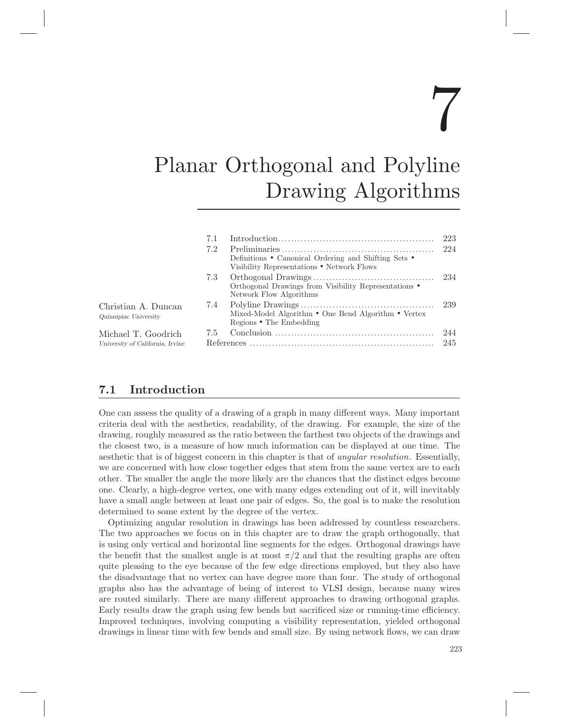# 7

# Planar Orthogonal and Polyline Drawing Algorithms

|                                              |     |                                                                                                    | 223 |
|----------------------------------------------|-----|----------------------------------------------------------------------------------------------------|-----|
|                                              | 7.2 | Definitions • Canonical Ordering and Shifting Sets •<br>Visibility Representations • Network Flows | 224 |
|                                              | 7.3 | Orthogonal Drawings from Visibility Representations •<br>Network Flow Algorithms                   |     |
| Christian A. Duncan<br>Quinnipiac University |     | Mixed-Model Algorithm • One Bend Algorithm • Vertex<br>$Regions \cdot$ The Embedding               |     |
| Michael T. Goodrich                          | 7.5 |                                                                                                    | 244 |
| University of California, Irvine             |     |                                                                                                    | 245 |

# 7.1 Introduction

One can assess the quality of a drawing of a graph in many different ways. Many important criteria deal with the aesthetics, readability, of the drawing. For example, the size of the drawing, roughly measured as the ratio between the farthest two objects of the drawings and the closest two, is a measure of how much information can be displayed at one time. The aesthetic that is of biggest concern in this chapter is that of *angular resolution*. Essentially, we are concerned with how close together edges that stem from the same vertex are to each other. The smaller the angle the more likely are the chances that the distinct edges become one. Clearly, a high-degree vertex, one with many edges extending out of it, will inevitably have a small angle between at least one pair of edges. So, the goal is to make the resolution determined to some extent by the degree of the vertex.

Optimizing angular resolution in drawings has been addressed by countless researchers. The two approaches we focus on in this chapter are to draw the graph orthogonally, that is using only vertical and horizontal line segments for the edges. Orthogonal drawings have the benefit that the smallest angle is at most  $\pi/2$  and that the resulting graphs are often quite pleasing to the eye because of the few edge directions employed, but they also have the disadvantage that no vertex can have degree more than four. The study of orthogonal graphs also has the advantage of being of interest to VLSI design, because many wires are routed similarly. There are many different approaches to drawing orthogonal graphs. Early results draw the graph using few bends but sacrificed size or running-time efficiency. Improved techniques, involving computing a visibility representation, yielded orthogonal drawings in linear time with few bends and small size. By using network flows, we can draw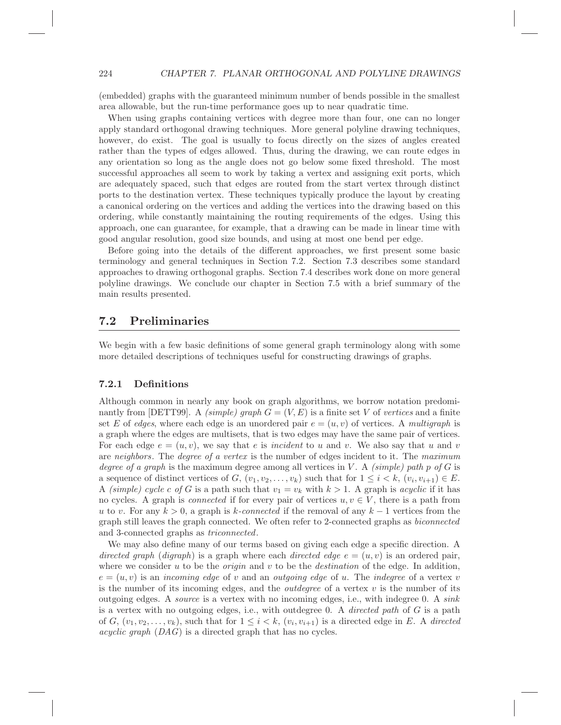(embedded) graphs with the guaranteed minimum number of bends possible in the smallest area allowable, but the run-time performance goes up to near quadratic time.

When using graphs containing vertices with degree more than four, one can no longer apply standard orthogonal drawing techniques. More general polyline drawing techniques, however, do exist. The goal is usually to focus directly on the sizes of angles created rather than the types of edges allowed. Thus, during the drawing, we can route edges in any orientation so long as the angle does not go below some fixed threshold. The most successful approaches all seem to work by taking a vertex and assigning exit ports, which are adequately spaced, such that edges are routed from the start vertex through distinct ports to the destination vertex. These techniques typically produce the layout by creating a canonical ordering on the vertices and adding the vertices into the drawing based on this ordering, while constantly maintaining the routing requirements of the edges. Using this approach, one can guarantee, for example, that a drawing can be made in linear time with good angular resolution, good size bounds, and using at most one bend per edge.

Before going into the details of the different approaches, we first present some basic terminology and general techniques in Section 7.2. Section 7.3 describes some standard approaches to drawing orthogonal graphs. Section 7.4 describes work done on more general polyline drawings. We conclude our chapter in Section 7.5 with a brief summary of the main results presented.

# 7.2 Preliminaries

We begin with a few basic definitions of some general graph terminology along with some more detailed descriptions of techniques useful for constructing drawings of graphs.

#### 7.2.1 Definitions

Although common in nearly any book on graph algorithms, we borrow notation predominantly from [DETT99]. A *(simple)* graph  $G = (V, E)$  is a finite set V of *vertices* and a finite set E of *edges*, where each edge is an unordered pair  $e = (u, v)$  of vertices. A *multigraph* is a graph where the edges are multisets, that is two edges may have the same pair of vertices. For each edge  $e = (u, v)$ , we say that e is *incident* to u and v. We also say that u and v are *neighbors*. The *degree of a vertex* is the number of edges incident to it. The *maximum degree of a graph* is the maximum degree among all vertices in V . A *(simple) path* p *of* G is a sequence of distinct vertices of  $G, (v_1, v_2, \ldots, v_k)$  such that for  $1 \leq i \leq k, (v_i, v_{i+1}) \in E$ . A *(simple) cycle c of* G is a path such that  $v_1 = v_k$  with  $k > 1$ . A graph is *acyclic* if it has no cycles. A graph is *connected* if for every pair of vertices  $u, v \in V$ , there is a path from u to v. For any  $k > 0$ , a graph is k-connected if the removal of any  $k-1$  vertices from the graph still leaves the graph connected. We often refer to 2-connected graphs as *biconnected* and 3-connected graphs as *triconnected*.

We may also define many of our terms based on giving each edge a specific direction. A *directed graph* (*digraph*) is a graph where each *directed edge*  $e = (u, v)$  is an ordered pair, where we consider u to be the *origin* and v to be the *destination* of the edge. In addition,  $e = (u, v)$  is an *incoming edge* of v and an *outgoing edge* of u. The *indegree* of a vertex v is the number of its incoming edges, and the *outdegree* of a vertex  $v$  is the number of its outgoing edges. A *source* is a vertex with no incoming edges, i.e., with indegree 0. A *sink* is a vertex with no outgoing edges, i.e., with outdegree 0. A *directed path* of G is a path of  $G, (v_1, v_2, \ldots, v_k)$ , such that for  $1 \leq i \leq k$ ,  $(v_i, v_{i+1})$  is a directed edge in E. A *directed acyclic graph* (*DAG*) is a directed graph that has no cycles.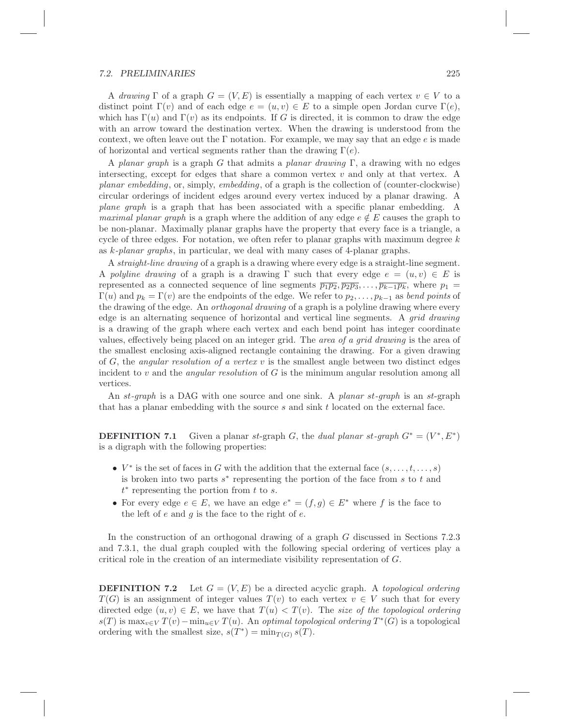#### 7.2. PRELIMINARIES 225

A *drawing*  $\Gamma$  of a graph  $G = (V, E)$  is essentially a mapping of each vertex  $v \in V$  to a distinct point  $\Gamma(v)$  and of each edge  $e = (u, v) \in E$  to a simple open Jordan curve  $\Gamma(e)$ , which has  $\Gamma(u)$  and  $\Gamma(v)$  as its endpoints. If G is directed, it is common to draw the edge with an arrow toward the destination vertex. When the drawing is understood from the context, we often leave out the  $\Gamma$  notation. For example, we may say that an edge e is made of horizontal and vertical segments rather than the drawing  $\Gamma(e)$ .

A *planar graph* is a graph G that admits a *planar drawing* Γ, a drawing with no edges intersecting, except for edges that share a common vertex  $v$  and only at that vertex. A *planar embedding*, or, simply, *embedding*, of a graph is the collection of (counter-clockwise) circular orderings of incident edges around every vertex induced by a planar drawing. A *plane graph* is a graph that has been associated with a specific planar embedding. A *maximal planar graph* is a graph where the addition of any edge  $e \notin E$  causes the graph to be non-planar. Maximally planar graphs have the property that every face is a triangle, a cycle of three edges. For notation, we often refer to planar graphs with maximum degree  $k$ as k*-planar graphs*, in particular, we deal with many cases of 4-planar graphs.

A *straight-line drawing* of a graph is a drawing where every edge is a straight-line segment. A *polyline drawing* of a graph is a drawing  $\Gamma$  such that every edge  $e = (u, v) \in E$  is represented as a connected sequence of line segments  $\overline{p_1p_2}, \overline{p_2p_3}, \ldots, \overline{p_{k-1}p_k}$ , where  $p_1 =$  $\Gamma(u)$  and  $p_k = \Gamma(v)$  are the endpoints of the edge. We refer to  $p_2, \ldots, p_{k-1}$  as *bend points* of the drawing of the edge. An *orthogonal drawing* of a graph is a polyline drawing where every edge is an alternating sequence of horizontal and vertical line segments. A *grid drawing* is a drawing of the graph where each vertex and each bend point has integer coordinate values, effectively being placed on an integer grid. The *area of a grid drawing* is the area of the smallest enclosing axis-aligned rectangle containing the drawing. For a given drawing of G, the *angular resolution of a vertex* v is the smallest angle between two distinct edges incident to v and the *angular resolution* of G is the minimum angular resolution among all vertices.

An st*-graph* is a DAG with one source and one sink. A *planar* st*-graph* is an st-graph that has a planar embedding with the source  $s$  and sink  $t$  located on the external face.

**DEFINITION 7.1** Given a planar st-graph G, the *dual planar* st-graph  $G^* = (V^*, E^*)$ is a digraph with the following properties:

- $V^*$  is the set of faces in G with the addition that the external face  $(s, \ldots, t, \ldots, s)$ is broken into two parts  $s^*$  representing the portion of the face from s to t and  $t^*$  representing the portion from  $t$  to  $s$ .
- For every edge  $e \in E$ , we have an edge  $e^* = (f, g) \in E^*$  where f is the face to the left of  $e$  and  $g$  is the face to the right of  $e$ .

In the construction of an orthogonal drawing of a graph G discussed in Sections 7.2.3 and 7.3.1, the dual graph coupled with the following special ordering of vertices play a critical role in the creation of an intermediate visibility representation of G.

**DEFINITION 7.2** Let  $G = (V, E)$  be a directed acyclic graph. A *topological ordering*  $T(G)$  is an assignment of integer values  $T(v)$  to each vertex  $v \in V$  such that for every directed edge  $(u, v) \in E$ , we have that  $T(u) < T(v)$ . The *size of the topological ordering*  $s(T)$  is  $\max_{v \in V} T(v) - \min_{u \in V} T(u)$ . An *optimal topological ordering*  $T^*(G)$  is a topological ordering with the smallest size,  $s(T^*) = \min_{T(G)} s(T)$ .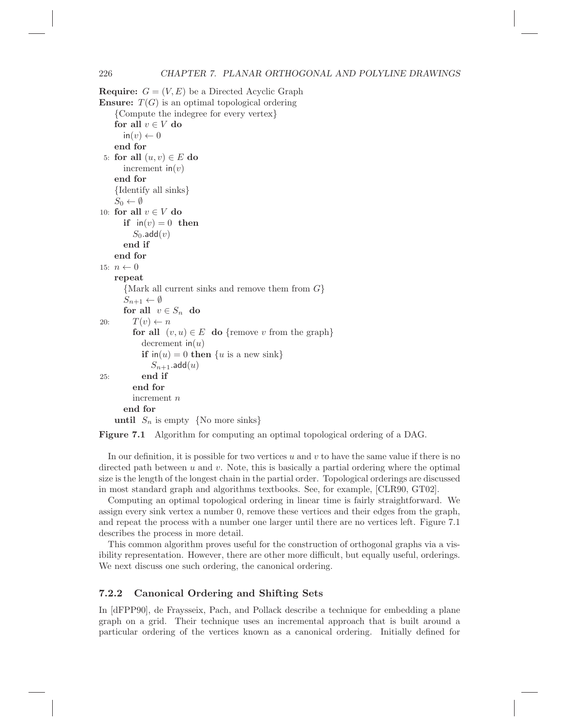**Require:**  $G = (V, E)$  be a Directed Acyclic Graph **Ensure:**  $T(G)$  is an optimal topological ordering {Compute the indegree for every vertex} for all  $v \in V$  do  $\mathsf{in}(v) \leftarrow 0$ end for 5: for all  $(u, v) \in E$  do increment  $\mathsf{in}(v)$ end for {Identify all sinks}  $S_0 \leftarrow \emptyset$ 10: for all  $v \in V$  do if  $in(v) = 0$  then  $S_0$ .add $(v)$ end if end for 15:  $n \leftarrow 0$ repeat {Mark all current sinks and remove them from  $G$ }  $S_{n+1} \leftarrow \emptyset$ for all  $\,v\in S_n\,$  do 20:  $T(v) \leftarrow n$ for all  $(v, u) \in E$  do {remove v from the graph} decrement  $\mathsf{in}(u)$ if  $in(u) = 0$  then  $\{u \text{ is a new sink}\}\$  $S_{n+1}$ .add $(u)$ 25: end if end for increment n end for until  $S_n$  is empty {No more sinks}

Figure 7.1 Algorithm for computing an optimal topological ordering of a DAG.

In our definition, it is possible for two vertices u and v to have the same value if there is no directed path between  $u$  and  $v$ . Note, this is basically a partial ordering where the optimal size is the length of the longest chain in the partial order. Topological orderings are discussed in most standard graph and algorithms textbooks. See, for example, [CLR90, GT02].

Computing an optimal topological ordering in linear time is fairly straightforward. We assign every sink vertex a number 0, remove these vertices and their edges from the graph, and repeat the process with a number one larger until there are no vertices left. Figure 7.1 describes the process in more detail.

This common algorithm proves useful for the construction of orthogonal graphs via a visibility representation. However, there are other more difficult, but equally useful, orderings. We next discuss one such ordering, the canonical ordering.

# 7.2.2 Canonical Ordering and Shifting Sets

In [dFPP90], de Fraysseix, Pach, and Pollack describe a technique for embedding a plane graph on a grid. Their technique uses an incremental approach that is built around a particular ordering of the vertices known as a canonical ordering. Initially defined for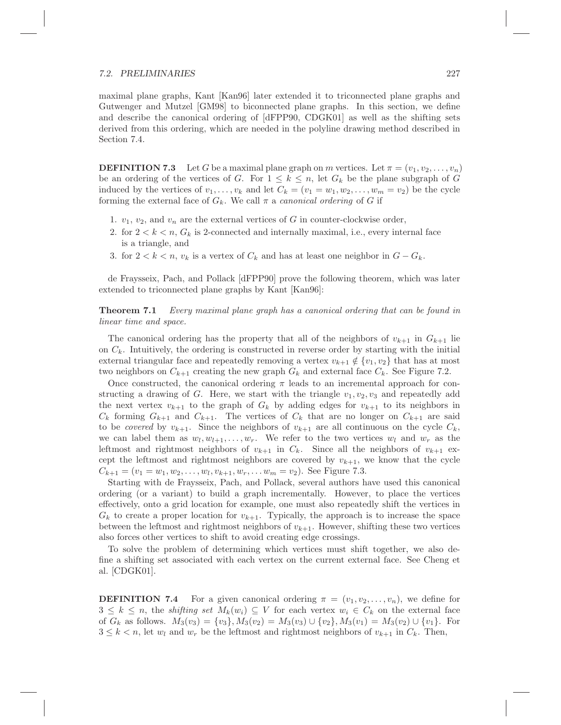#### 7.2. PRELIMINARIES 227

maximal plane graphs, Kant [Kan96] later extended it to triconnected plane graphs and Gutwenger and Mutzel [GM98] to biconnected plane graphs. In this section, we define and describe the canonical ordering of [dFPP90, CDGK01] as well as the shifting sets derived from this ordering, which are needed in the polyline drawing method described in Section 7.4.

**DEFINITION 7.3** Let G be a maximal plane graph on m vertices. Let  $\pi = (v_1, v_2, \dots, v_n)$ be an ordering of the vertices of G. For  $1 \leq k \leq n$ , let  $G_k$  be the plane subgraph of G induced by the vertices of  $v_1, \ldots, v_k$  and let  $C_k = (v_1 = w_1, w_2, \ldots, w_m = v_2)$  be the cycle forming the external face of  $G_k$ . We call  $\pi$  a *canonical ordering* of G if

- 1.  $v_1, v_2$ , and  $v_n$  are the external vertices of G in counter-clockwise order,
- 2. for  $2 < k < n$ ,  $G_k$  is 2-connected and internally maximal, i.e., every internal face is a triangle, and
- 3. for  $2 < k < n$ ,  $v_k$  is a vertex of  $C_k$  and has at least one neighbor in  $G G_k$ .

de Fraysseix, Pach, and Pollack [dFPP90] prove the following theorem, which was later extended to triconnected plane graphs by Kant [Kan96]:

Theorem 7.1 *Every maximal plane graph has a canonical ordering that can be found in linear time and space.*

The canonical ordering has the property that all of the neighbors of  $v_{k+1}$  in  $G_{k+1}$  lie on  $C_k$ . Intuitively, the ordering is constructed in reverse order by starting with the initial external triangular face and repeatedly removing a vertex  $v_{k+1} \notin \{v_1, v_2\}$  that has at most two neighbors on  $C_{k+1}$  creating the new graph  $G_k$  and external face  $C_k$ . See Figure 7.2.

Once constructed, the canonical ordering  $\pi$  leads to an incremental approach for constructing a drawing of G. Here, we start with the triangle  $v_1, v_2, v_3$  and repeatedly add the next vertex  $v_{k+1}$  to the graph of  $G_k$  by adding edges for  $v_{k+1}$  to its neighbors in  $C_k$  forming  $G_{k+1}$  and  $C_{k+1}$ . The vertices of  $C_k$  that are no longer on  $C_{k+1}$  are said to be *covered* by  $v_{k+1}$ . Since the neighbors of  $v_{k+1}$  are all continuous on the cycle  $C_k$ , we can label them as  $w_l, w_{l+1}, \ldots, w_r$ . We refer to the two vertices  $w_l$  and  $w_r$  as the leftmost and rightmost neighbors of  $v_{k+1}$  in  $C_k$ . Since all the neighbors of  $v_{k+1}$  except the leftmost and rightmost neighbors are covered by  $v_{k+1}$ , we know that the cycle  $C_{k+1} = (v_1 = w_1, w_2, \dots, w_l, v_{k+1}, w_r, \dots w_m = v_2)$ . See Figure 7.3.

Starting with de Fraysseix, Pach, and Pollack, several authors have used this canonical ordering (or a variant) to build a graph incrementally. However, to place the vertices effectively, onto a grid location for example, one must also repeatedly shift the vertices in  $G_k$  to create a proper location for  $v_{k+1}$ . Typically, the approach is to increase the space between the leftmost and rightmost neighbors of  $v_{k+1}$ . However, shifting these two vertices also forces other vertices to shift to avoid creating edge crossings.

To solve the problem of determining which vertices must shift together, we also define a shifting set associated with each vertex on the current external face. See Cheng et al. [CDGK01].

**DEFINITION 7.4** For a given canonical ordering  $\pi = (v_1, v_2, \dots, v_n)$ , we define for  $3 \leq k \leq n$ , the *shifting set*  $M_k(w_i) \subseteq V$  for each vertex  $w_i \in C_k$  on the external face of  $G_k$  as follows.  $M_3(v_3) = \{v_3\}, M_3(v_2) = M_3(v_3) \cup \{v_2\}, M_3(v_1) = M_3(v_2) \cup \{v_1\}.$  For  $3 \leq k < n$ , let  $w_l$  and  $w_r$  be the leftmost and rightmost neighbors of  $v_{k+1}$  in  $C_k$ . Then,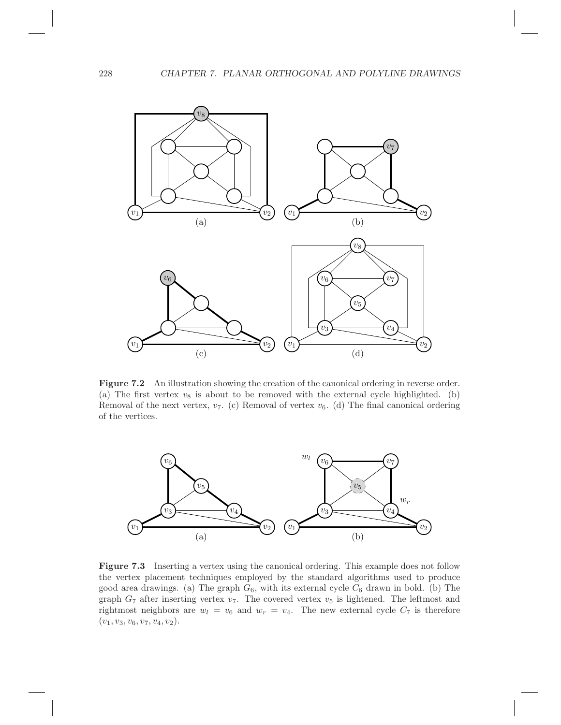

Figure 7.2 An illustration showing the creation of the canonical ordering in reverse order. (a) The first vertex  $v_8$  is about to be removed with the external cycle highlighted. (b) Removal of the next vertex,  $v_7$ . (c) Removal of vertex  $v_6$ . (d) The final canonical ordering of the vertices.



Figure 7.3 Inserting a vertex using the canonical ordering. This example does not follow the vertex placement techniques employed by the standard algorithms used to produce good area drawings. (a) The graph  $G_6$ , with its external cycle  $C_6$  drawn in bold. (b) The graph  $G_7$  after inserting vertex  $v_7$ . The covered vertex  $v_5$  is lightened. The leftmost and rightmost neighbors are  $w_l = v_6$  and  $w_r = v_4$ . The new external cycle  $C_7$  is therefore  $(v_1, v_3, v_6, v_7, v_4, v_2).$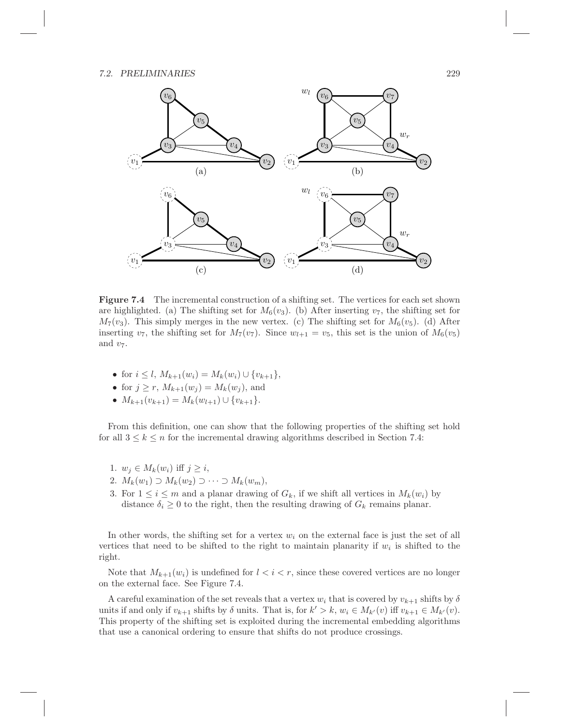

Figure 7.4 The incremental construction of a shifting set. The vertices for each set shown are highlighted. (a) The shifting set for  $M_6(v_3)$ . (b) After inserting  $v_7$ , the shifting set for  $M_7(v_3)$ . This simply merges in the new vertex. (c) The shifting set for  $M_6(v_5)$ . (d) After inserting  $v_7$ , the shifting set for  $M_7(v_7)$ . Since  $w_{l+1} = v_5$ , this set is the union of  $M_6(v_5)$ and  $v_7$ .

- for  $i \leq l$ ,  $M_{k+1}(w_i) = M_k(w_i) \cup \{v_{k+1}\},\$
- for  $j \geq r$ ,  $M_{k+1}(w_j) = M_k(w_j)$ , and
- $M_{k+1}(v_{k+1}) = M_k(w_{l+1}) \cup \{v_{k+1}\}.$

From this definition, one can show that the following properties of the shifting set hold for all  $3 \leq k \leq n$  for the incremental drawing algorithms described in Section 7.4:

- 1.  $w_j \in M_k(w_i)$  iff  $j \geq i$ ,
- 2.  $M_k(w_1) \supset M_k(w_2) \supset \cdots \supset M_k(w_m)$ ,
- 3. For  $1 \leq i \leq m$  and a planar drawing of  $G_k$ , if we shift all vertices in  $M_k(w_i)$  by distance  $\delta_i \geq 0$  to the right, then the resulting drawing of  $G_k$  remains planar.

In other words, the shifting set for a vertex  $w_i$  on the external face is just the set of all vertices that need to be shifted to the right to maintain planarity if  $w_i$  is shifted to the right.

Note that  $M_{k+1}(w_i)$  is undefined for  $l < i < r$ , since these covered vertices are no longer on the external face. See Figure 7.4.

A careful examination of the set reveals that a vertex  $w_i$  that is covered by  $v_{k+1}$  shifts by  $\delta$ units if and only if  $v_{k+1}$  shifts by  $\delta$  units. That is, for  $k' > k$ ,  $w_i \in M_{k'}(v)$  iff  $v_{k+1} \in M_{k'}(v)$ . This property of the shifting set is exploited during the incremental embedding algorithms that use a canonical ordering to ensure that shifts do not produce crossings.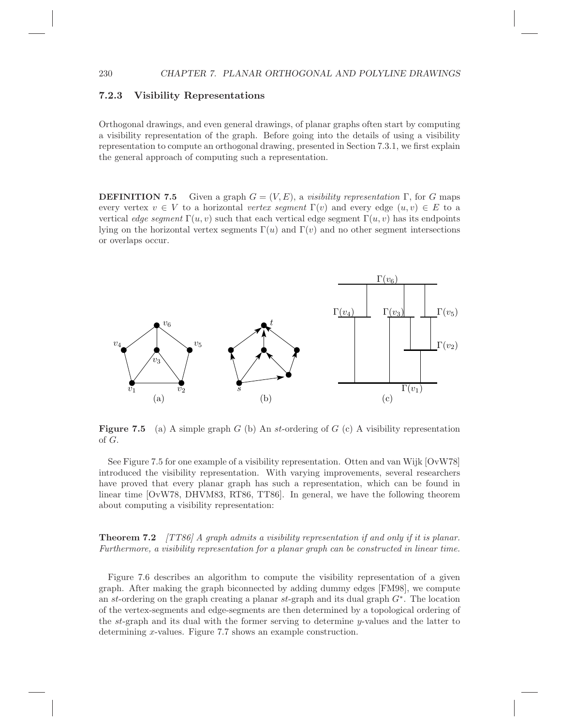# 7.2.3 Visibility Representations

Orthogonal drawings, and even general drawings, of planar graphs often start by computing a visibility representation of the graph. Before going into the details of using a visibility representation to compute an orthogonal drawing, presented in Section 7.3.1, we first explain the general approach of computing such a representation.

**DEFINITION 7.5** Given a graph  $G = (V, E)$ , a *visibility representation* Γ, for G maps every vertex  $v \in V$  to a horizontal *vertex segment*  $\Gamma(v)$  and every edge  $(u, v) \in E$  to a vertical *edge segment*  $\Gamma(u, v)$  such that each vertical edge segment  $\Gamma(u, v)$  has its endpoints lying on the horizontal vertex segments  $\Gamma(u)$  and  $\Gamma(v)$  and no other segment intersections or overlaps occur.



**Figure 7.5** (a) A simple graph G (b) An st-ordering of G (c) A visibility representation of G.

See Figure 7.5 for one example of a visibility representation. Otten and van Wijk [OvW78] introduced the visibility representation. With varying improvements, several researchers have proved that every planar graph has such a representation, which can be found in linear time [OvW78, DHVM83, RT86, TT86]. In general, we have the following theorem about computing a visibility representation:

Theorem 7.2 *[TT86] A graph admits a visibility representation if and only if it is planar. Furthermore, a visibility representation for a planar graph can be constructed in linear time.*

Figure 7.6 describes an algorithm to compute the visibility representation of a given graph. After making the graph biconnected by adding dummy edges [FM98], we compute an st-ordering on the graph creating a planar st-graph and its dual graph G<sup>∗</sup> . The location of the vertex-segments and edge-segments are then determined by a topological ordering of the  $st$ -graph and its dual with the former serving to determine  $y$ -values and the latter to determining x-values. Figure 7.7 shows an example construction.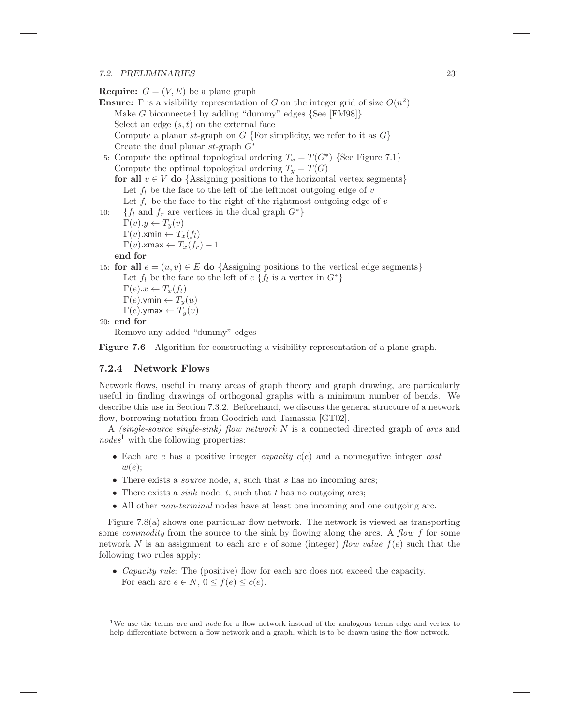#### 7.2. PRELIMINARIES 231

**Require:**  $G = (V, E)$  be a plane graph

**Ensure:**  $\Gamma$  is a visibility representation of G on the integer grid of size  $O(n^2)$ Make G biconnected by adding "dummy" edges {See [FM98]} Select an edge  $(s, t)$  on the external face Compute a planar st-graph on  $G$  {For simplicity, we refer to it as  $G$ } Create the dual planar  $st$ -graph  $G^*$ 

5: Compute the optimal topological ordering  $T_x = T(G^*)$  {See Figure 7.1} Compute the optimal topological ordering  $T_y = T(G)$ for all  $v \in V$  do {Assigning positions to the horizontal vertex segments} Let  $f_l$  be the face to the left of the leftmost outgoing edge of v

Let  $f_r$  be the face to the right of the rightmost outgoing edge of v

10: {f<sub>l</sub> and  $f_r$  are vertices in the dual graph  $G^*$ }

$$
\Gamma(v).y \leftarrow T_y(v)
$$
  
\n
$$
\Gamma(v).xmin \leftarrow T_x(f_l)
$$
  
\n
$$
\Gamma(v).xmax \leftarrow T_x(f_r) - 1
$$
  
\nend for

15: for all  $e = (u, v) \in E$  do {Assigning positions to the vertical edge segments} Let  $f_l$  be the face to the left of  $e \{f_l \text{ is a vertex in } G^* \}$  $\Gamma(e).x \leftarrow T_x(f_l)$  $\Gamma(e)$ .ymin  $\leftarrow T_y(u)$ 

 $\Gamma(e)$ .ymax  $\leftarrow T_y(v)$ 

# 20: end for

Remove any added "dummy" edges

Figure 7.6 Algorithm for constructing a visibility representation of a plane graph.

# 7.2.4 Network Flows

Network flows, useful in many areas of graph theory and graph drawing, are particularly useful in finding drawings of orthogonal graphs with a minimum number of bends. We describe this use in Section 7.3.2. Beforehand, we discuss the general structure of a network flow, borrowing notation from Goodrich and Tamassia [GT02].

A *(single-source single-sink) flow network* N is a connected directed graph of *arcs* and *nodes*<sup>1</sup> with the following properties:

- Each arc  $e$  has a positive integer *capacity*  $c(e)$  and a nonnegative integer  $cost$  $w(e);$
- There exists a *source* node, s, such that s has no incoming arcs;
- There exists a *sink* node,  $t$ , such that  $t$  has no outgoing arcs;
- All other *non-terminal* nodes have at least one incoming and one outgoing arc.

Figure 7.8(a) shows one particular flow network. The network is viewed as transporting some *commodity* from the source to the sink by flowing along the arcs. A *flow* f for some network N is an assignment to each arc  $e$  of some (integer) *flow value*  $f(e)$  such that the following two rules apply:

• *Capacity rule*: The (positive) flow for each arc does not exceed the capacity. For each arc  $e \in N$ ,  $0 \leq f(e) \leq c(e)$ .

<sup>&</sup>lt;sup>1</sup>We use the terms arc and node for a flow network instead of the analogous terms edge and vertex to help differentiate between a flow network and a graph, which is to be drawn using the flow network.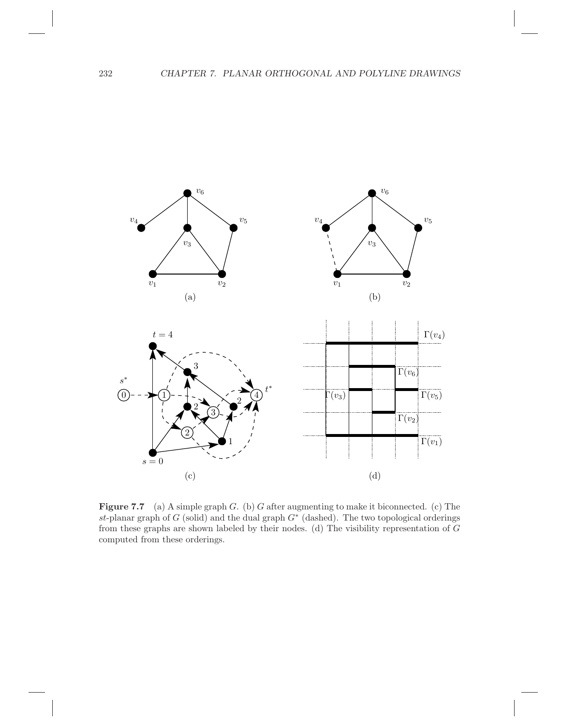

**Figure 7.7** (a) A simple graph  $G$ . (b)  $G$  after augmenting to make it biconnected. (c) The st-planar graph of G (solid) and the dual graph  $G^*$  (dashed). The two topological orderings from these graphs are shown labeled by their nodes. (d) The visibility representation of  $G$ computed from these orderings.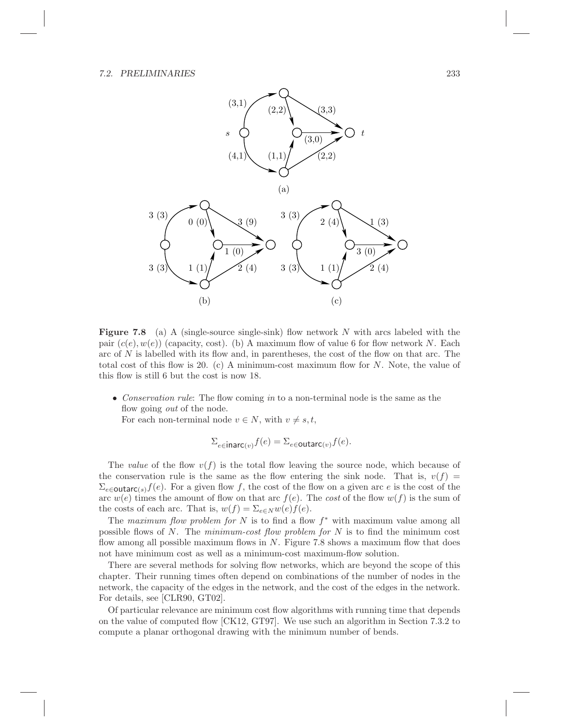

**Figure 7.8** (a) A (single-source single-sink) flow network N with arcs labeled with the pair  $(c(e), w(e))$  (capacity, cost). (b) A maximum flow of value 6 for flow network N. Each arc of  $N$  is labelled with its flow and, in parentheses, the cost of the flow on that arc. The total cost of this flow is 20. (c) A minimum-cost maximum flow for  $N$ . Note, the value of this flow is still 6 but the cost is now 18.

• *Conservation rule*: The flow coming *in* to a non-terminal node is the same as the flow going *out* of the node.

For each non-terminal node  $v \in N$ , with  $v \neq s, t$ ,

$$
\Sigma_{e \in \mathsf{inarc}(v)} f(e) = \Sigma_{e \in \mathsf{outarc}(v)} f(e).
$$

The *value* of the flow  $v(f)$  is the total flow leaving the source node, which because of the conservation rule is the same as the flow entering the sink node. That is,  $v(f)$  $\Sigma_{e \in \text{outarc}(s)} f(e)$ . For a given flow f, the cost of the flow on a given arc e is the cost of the arc  $w(e)$  times the amount of flow on that arc  $f(e)$ . The *cost* of the flow  $w(f)$  is the sum of the costs of each arc. That is,  $w(f) = \sum_{e \in N} w(e) f(e)$ .

The *maximum flow problem for*  $N$  is to find a flow  $f^*$  with maximum value among all possible flows of N. The *minimum-cost flow problem for* N is to find the minimum cost flow among all possible maximum flows in  $N$ . Figure 7.8 shows a maximum flow that does not have minimum cost as well as a minimum-cost maximum-flow solution.

There are several methods for solving flow networks, which are beyond the scope of this chapter. Their running times often depend on combinations of the number of nodes in the network, the capacity of the edges in the network, and the cost of the edges in the network. For details, see [CLR90, GT02].

Of particular relevance are minimum cost flow algorithms with running time that depends on the value of computed flow [CK12, GT97]. We use such an algorithm in Section 7.3.2 to compute a planar orthogonal drawing with the minimum number of bends.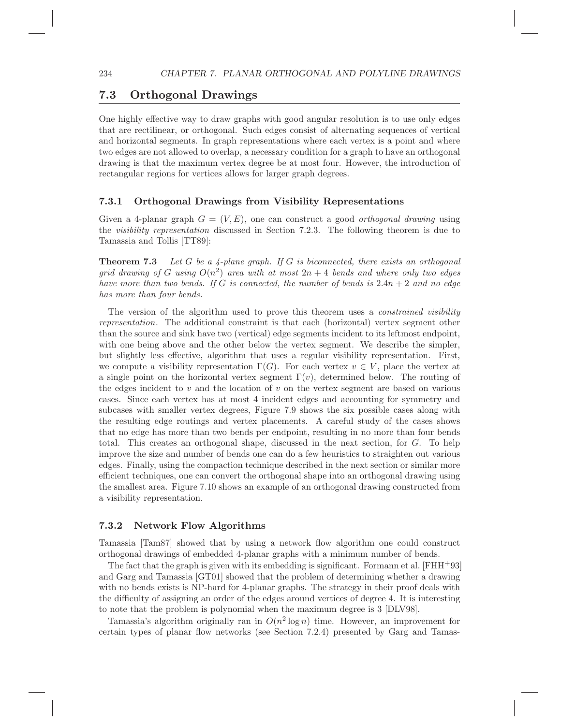# 7.3 Orthogonal Drawings

One highly effective way to draw graphs with good angular resolution is to use only edges that are rectilinear, or orthogonal. Such edges consist of alternating sequences of vertical and horizontal segments. In graph representations where each vertex is a point and where two edges are not allowed to overlap, a necessary condition for a graph to have an orthogonal drawing is that the maximum vertex degree be at most four. However, the introduction of rectangular regions for vertices allows for larger graph degrees.

# 7.3.1 Orthogonal Drawings from Visibility Representations

Given a 4-planar graph  $G = (V, E)$ , one can construct a good *orthogonal drawing* using the *visibility representation* discussed in Section 7.2.3. The following theorem is due to Tamassia and Tollis [TT89]:

Theorem 7.3 *Let* G *be a 4-plane graph. If* G *is biconnected, there exists an orthogonal* grid drawing of G using  $O(n^2)$  area with at most  $2n + 4$  bends and where only two edges *have more than two bends. If* G *is connected, the number of bends is* 2.4n + 2 *and no edge has more than four bends.*

The version of the algorithm used to prove this theorem uses a *constrained visibility representation*. The additional constraint is that each (horizontal) vertex segment other than the source and sink have two (vertical) edge segments incident to its leftmost endpoint, with one being above and the other below the vertex segment. We describe the simpler, but slightly less effective, algorithm that uses a regular visibility representation. First, we compute a visibility representation  $\Gamma(G)$ . For each vertex  $v \in V$ , place the vertex at a single point on the horizontal vertex segment  $\Gamma(v)$ , determined below. The routing of the edges incident to  $v$  and the location of  $v$  on the vertex segment are based on various cases. Since each vertex has at most 4 incident edges and accounting for symmetry and subcases with smaller vertex degrees, Figure 7.9 shows the six possible cases along with the resulting edge routings and vertex placements. A careful study of the cases shows that no edge has more than two bends per endpoint, resulting in no more than four bends total. This creates an orthogonal shape, discussed in the next section, for G. To help improve the size and number of bends one can do a few heuristics to straighten out various edges. Finally, using the compaction technique described in the next section or similar more efficient techniques, one can convert the orthogonal shape into an orthogonal drawing using the smallest area. Figure 7.10 shows an example of an orthogonal drawing constructed from a visibility representation.

# 7.3.2 Network Flow Algorithms

Tamassia [Tam87] showed that by using a network flow algorithm one could construct orthogonal drawings of embedded 4-planar graphs with a minimum number of bends.

The fact that the graph is given with its embedding is significant. Formann et al.  $[FHH<sup>+</sup>93]$ and Garg and Tamassia [GT01] showed that the problem of determining whether a drawing with no bends exists is NP-hard for 4-planar graphs. The strategy in their proof deals with the difficulty of assigning an order of the edges around vertices of degree 4. It is interesting to note that the problem is polynomial when the maximum degree is 3 [DLV98].

Tamassia's algorithm originally ran in  $O(n^2 \log n)$  time. However, an improvement for certain types of planar flow networks (see Section 7.2.4) presented by Garg and Tamas-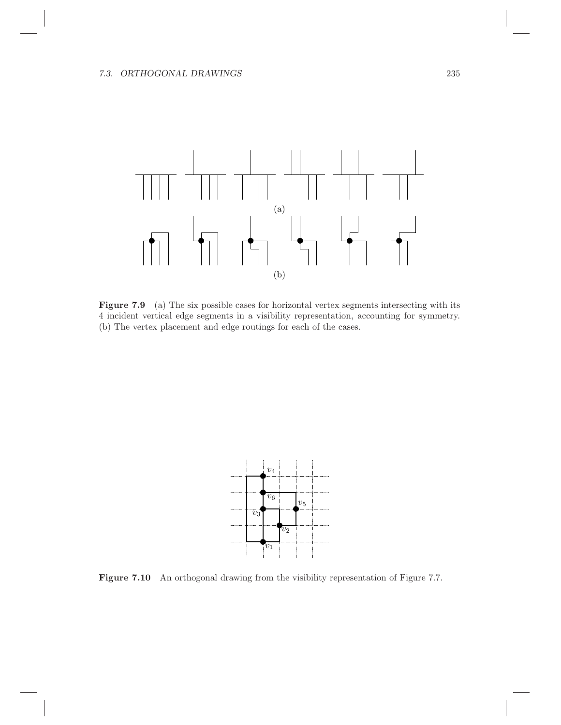

Figure 7.9 (a) The six possible cases for horizontal vertex segments intersecting with its 4 incident vertical edge segments in a visibility representation, accounting for symmetry. (b) The vertex placement and edge routings for each of the cases.



Figure 7.10 An orthogonal drawing from the visibility representation of Figure 7.7.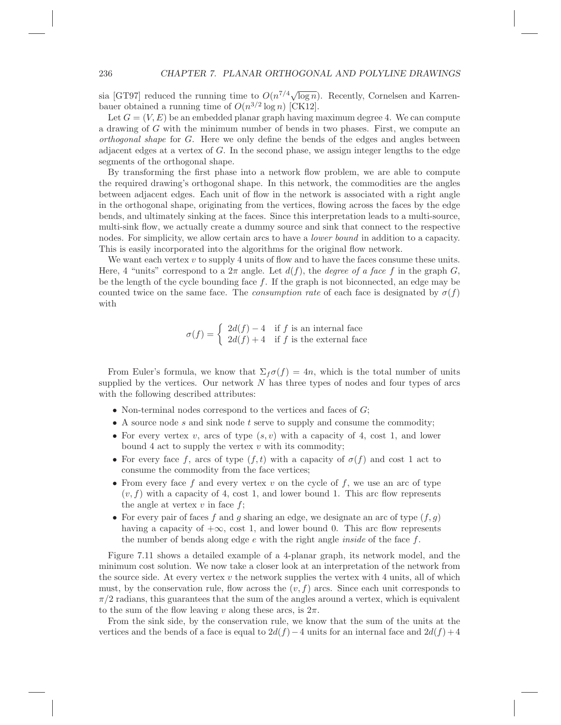sia [GT97] reduced the running time to  $O(n^{7/4}\sqrt{\log n})$ . Recently, Cornelsen and Karrenbauer obtained a running time of  $O(n^{3/2} \log n)$  [CK12].

Let  $G = (V, E)$  be an embedded planar graph having maximum degree 4. We can compute a drawing of G with the minimum number of bends in two phases. First, we compute an *orthogonal shape* for G. Here we only define the bends of the edges and angles between adjacent edges at a vertex of G. In the second phase, we assign integer lengths to the edge segments of the orthogonal shape.

By transforming the first phase into a network flow problem, we are able to compute the required drawing's orthogonal shape. In this network, the commodities are the angles between adjacent edges. Each unit of flow in the network is associated with a right angle in the orthogonal shape, originating from the vertices, flowing across the faces by the edge bends, and ultimately sinking at the faces. Since this interpretation leads to a multi-source, multi-sink flow, we actually create a dummy source and sink that connect to the respective nodes. For simplicity, we allow certain arcs to have a *lower bound* in addition to a capacity. This is easily incorporated into the algorithms for the original flow network.

We want each vertex  $v$  to supply 4 units of flow and to have the faces consume these units. Here, 4 "units" correspond to a  $2\pi$  angle. Let  $d(f)$ , the *degree of a face* f in the graph G, be the length of the cycle bounding face  $f$ . If the graph is not biconnected, an edge may be counted twice on the same face. The *consumption rate* of each face is designated by  $\sigma(f)$ with

$$
\sigma(f) = \begin{cases} 2d(f) - 4 & \text{if } f \text{ is an internal face} \\ 2d(f) + 4 & \text{if } f \text{ is the external face} \end{cases}
$$

From Euler's formula, we know that  $\Sigma_f \sigma(f) = 4n$ , which is the total number of units supplied by the vertices. Our network  $N$  has three types of nodes and four types of arcs with the following described attributes:

- Non-terminal nodes correspond to the vertices and faces of  $G$ ;
- A source node  $s$  and sink node  $t$  serve to supply and consume the commodity;
- For every vertex v, arcs of type  $(s, v)$  with a capacity of 4, cost 1, and lower bound 4 act to supply the vertex  $v$  with its commodity;
- For every face f, arcs of type  $(f, t)$  with a capacity of  $\sigma(f)$  and cost 1 act to consume the commodity from the face vertices;
- From every face f and every vertex  $v$  on the cycle of f, we use an arc of type  $(v, f)$  with a capacity of 4, cost 1, and lower bound 1. This arc flow represents the angle at vertex  $v$  in face  $f$ ;
- For every pair of faces f and g sharing an edge, we designate an arc of type  $(f, g)$ having a capacity of  $+\infty$ , cost 1, and lower bound 0. This arc flow represents the number of bends along edge e with the right angle *inside* of the face f.

Figure 7.11 shows a detailed example of a 4-planar graph, its network model, and the minimum cost solution. We now take a closer look at an interpretation of the network from the source side. At every vertex  $v$  the network supplies the vertex with 4 units, all of which must, by the conservation rule, flow across the  $(v, f)$  arcs. Since each unit corresponds to  $\pi/2$  radians, this guarantees that the sum of the angles around a vertex, which is equivalent to the sum of the flow leaving v along these arcs, is  $2\pi$ .

From the sink side, by the conservation rule, we know that the sum of the units at the vertices and the bends of a face is equal to  $2d(f)-4$  units for an internal face and  $2d(f)+4$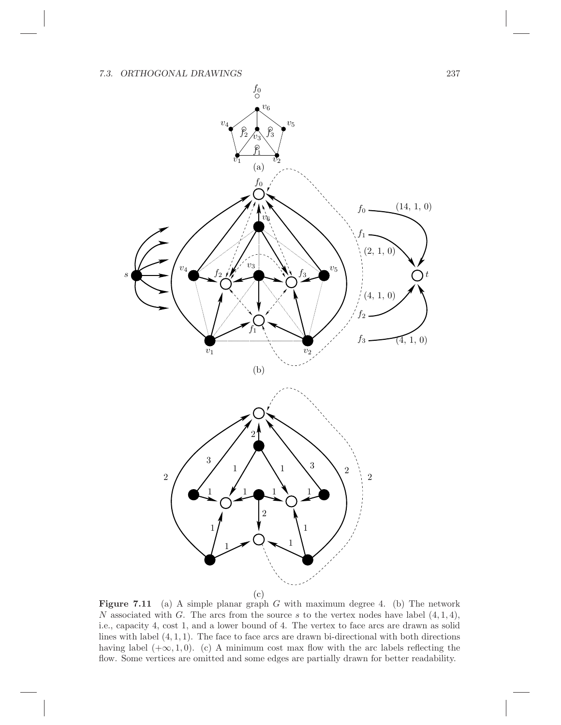

**Figure 7.11** (a) A simple planar graph  $G$  with maximum degree 4. (b) The network N associated with G. The arcs from the source s to the vertex nodes have label  $(4, 1, 4)$ , i.e., capacity 4, cost 1, and a lower bound of 4. The vertex to face arcs are drawn as solid lines with label  $(4, 1, 1)$ . The face to face arcs are drawn bi-directional with both directions having label  $(+\infty, 1, 0)$ . (c) A minimum cost max flow with the arc labels reflecting the flow. Some vertices are omitted and some edges are partially drawn for better readability.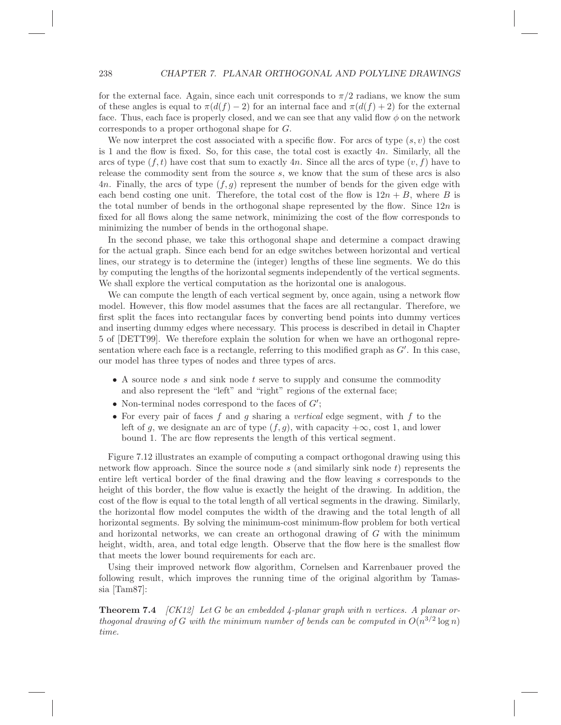for the external face. Again, since each unit corresponds to  $\pi/2$  radians, we know the sum of these angles is equal to  $\pi(d(f) - 2)$  for an internal face and  $\pi(d(f) + 2)$  for the external face. Thus, each face is properly closed, and we can see that any valid flow  $\phi$  on the network corresponds to a proper orthogonal shape for G.

We now interpret the cost associated with a specific flow. For arcs of type  $(s, v)$  the cost is 1 and the flow is fixed. So, for this case, the total cost is exactly  $4n$ . Similarly, all the arcs of type  $(f, t)$  have cost that sum to exactly 4n. Since all the arcs of type  $(v, f)$  have to release the commodity sent from the source s, we know that the sum of these arcs is also 4n. Finally, the arcs of type  $(f, g)$  represent the number of bends for the given edge with each bend costing one unit. Therefore, the total cost of the flow is  $12n + B$ , where B is the total number of bends in the orthogonal shape represented by the flow. Since  $12n$  is fixed for all flows along the same network, minimizing the cost of the flow corresponds to minimizing the number of bends in the orthogonal shape.

In the second phase, we take this orthogonal shape and determine a compact drawing for the actual graph. Since each bend for an edge switches between horizontal and vertical lines, our strategy is to determine the (integer) lengths of these line segments. We do this by computing the lengths of the horizontal segments independently of the vertical segments. We shall explore the vertical computation as the horizontal one is analogous.

We can compute the length of each vertical segment by, once again, using a network flow model. However, this flow model assumes that the faces are all rectangular. Therefore, we first split the faces into rectangular faces by converting bend points into dummy vertices and inserting dummy edges where necessary. This process is described in detail in Chapter 5 of [DETT99]. We therefore explain the solution for when we have an orthogonal representation where each face is a rectangle, referring to this modified graph as  $G'$ . In this case, our model has three types of nodes and three types of arcs.

- A source node s and sink node t serve to supply and consume the commodity and also represent the "left" and "right" regions of the external face;
- $\bullet\,$  Non-terminal nodes correspond to the faces of  $G';$
- For every pair of faces f and g sharing a *vertical* edge segment, with f to the left of g, we designate an arc of type  $(f, g)$ , with capacity  $+\infty$ , cost 1, and lower bound 1. The arc flow represents the length of this vertical segment.

Figure 7.12 illustrates an example of computing a compact orthogonal drawing using this network flow approach. Since the source node s (and similarly sink node t) represents the entire left vertical border of the final drawing and the flow leaving s corresponds to the height of this border, the flow value is exactly the height of the drawing. In addition, the cost of the flow is equal to the total length of all vertical segments in the drawing. Similarly, the horizontal flow model computes the width of the drawing and the total length of all horizontal segments. By solving the minimum-cost minimum-flow problem for both vertical and horizontal networks, we can create an orthogonal drawing of G with the minimum height, width, area, and total edge length. Observe that the flow here is the smallest flow that meets the lower bound requirements for each arc.

Using their improved network flow algorithm, Cornelsen and Karrenbauer proved the following result, which improves the running time of the original algorithm by Tamassia [Tam87]:

Theorem 7.4 *[CK12] Let* G *be an embedded 4-planar graph with* n *vertices. A planar orthogonal drawing of* G with the minimum number of bends can be computed in  $O(n^{3/2} \log n)$ *time.*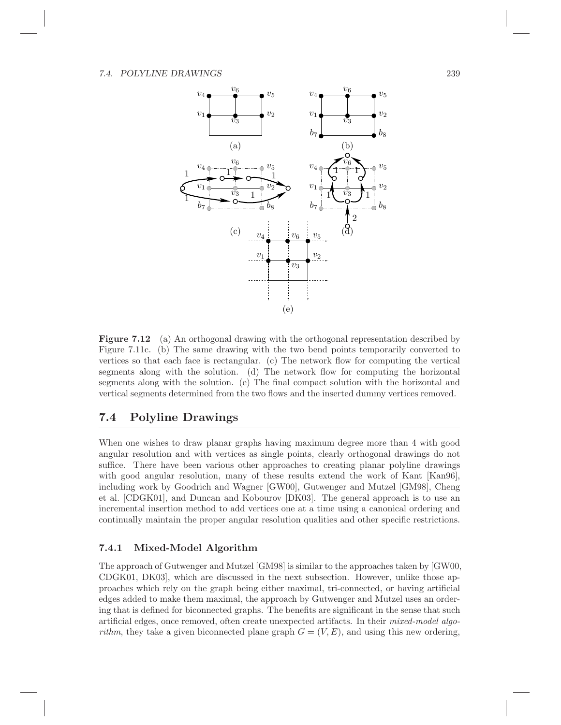#### 7.4. POLYLINE DRAWINGS 239



Figure 7.12 (a) An orthogonal drawing with the orthogonal representation described by Figure 7.11c. (b) The same drawing with the two bend points temporarily converted to vertices so that each face is rectangular. (c) The network flow for computing the vertical segments along with the solution. (d) The network flow for computing the horizontal segments along with the solution. (e) The final compact solution with the horizontal and vertical segments determined from the two flows and the inserted dummy vertices removed.

# 7.4 Polyline Drawings

When one wishes to draw planar graphs having maximum degree more than 4 with good angular resolution and with vertices as single points, clearly orthogonal drawings do not suffice. There have been various other approaches to creating planar polyline drawings with good angular resolution, many of these results extend the work of Kant [Kan96], including work by Goodrich and Wagner [GW00], Gutwenger and Mutzel [GM98], Cheng et al. [CDGK01], and Duncan and Kobourov [DK03]. The general approach is to use an incremental insertion method to add vertices one at a time using a canonical ordering and continually maintain the proper angular resolution qualities and other specific restrictions.

# 7.4.1 Mixed-Model Algorithm

The approach of Gutwenger and Mutzel [GM98] is similar to the approaches taken by [GW00, CDGK01, DK03], which are discussed in the next subsection. However, unlike those approaches which rely on the graph being either maximal, tri-connected, or having artificial edges added to make them maximal, the approach by Gutwenger and Mutzel uses an ordering that is defined for biconnected graphs. The benefits are significant in the sense that such artificial edges, once removed, often create unexpected artifacts. In their *mixed-model algorithm*, they take a given biconnected plane graph  $G = (V, E)$ , and using this new ordering,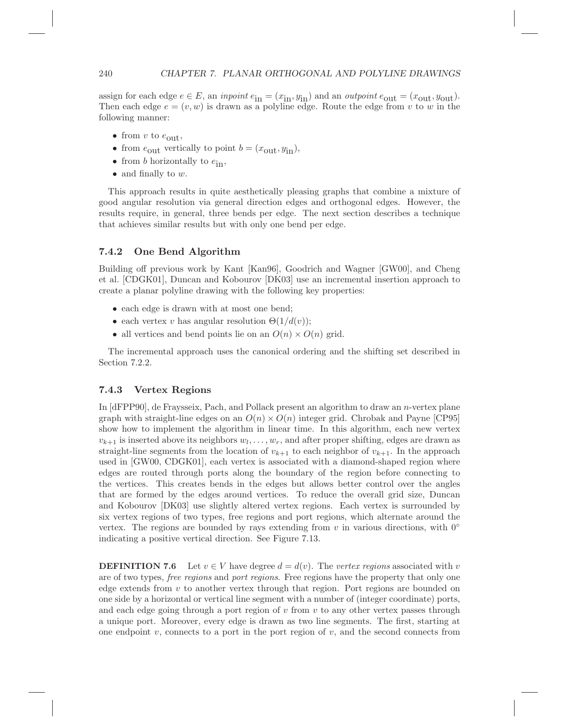assign for each edge  $e \in E$ , an *inpoint*  $e_{\text{in}} = (x_{\text{in}}, y_{\text{in}})$  and an *outpoint*  $e_{\text{out}} = (x_{\text{out}}, y_{\text{out}})$ . Then each edge  $e = (v, w)$  is drawn as a polyline edge. Route the edge from v to w in the following manner:

- from  $v$  to  $e_{\text{out}}$ ,
- from  $e_{\text{out}}$  vertically to point  $b = (x_{\text{out}}, y_{\text{in}}),$
- from b horizontally to  $e_{\text{in}}$ ,
- and finally to  $w$ .

This approach results in quite aesthetically pleasing graphs that combine a mixture of good angular resolution via general direction edges and orthogonal edges. However, the results require, in general, three bends per edge. The next section describes a technique that achieves similar results but with only one bend per edge.

# 7.4.2 One Bend Algorithm

Building off previous work by Kant [Kan96], Goodrich and Wagner [GW00], and Cheng et al. [CDGK01], Duncan and Kobourov [DK03] use an incremental insertion approach to create a planar polyline drawing with the following key properties:

- each edge is drawn with at most one bend;
- each vertex v has angular resolution  $\Theta(1/d(v));$
- all vertices and bend points lie on an  $O(n) \times O(n)$  grid.

The incremental approach uses the canonical ordering and the shifting set described in Section 7.2.2.

#### 7.4.3 Vertex Regions

In [dFPP90], de Fraysseix, Pach, and Pollack present an algorithm to draw an n-vertex plane graph with straight-line edges on an  $O(n) \times O(n)$  integer grid. Chrobak and Payne [CP95] show how to implement the algorithm in linear time. In this algorithm, each new vertex  $v_{k+1}$  is inserted above its neighbors  $w_1, \ldots, w_r$ , and after proper shifting, edges are drawn as straight-line segments from the location of  $v_{k+1}$  to each neighbor of  $v_{k+1}$ . In the approach used in [GW00, CDGK01], each vertex is associated with a diamond-shaped region where edges are routed through ports along the boundary of the region before connecting to the vertices. This creates bends in the edges but allows better control over the angles that are formed by the edges around vertices. To reduce the overall grid size, Duncan and Kobourov [DK03] use slightly altered vertex regions. Each vertex is surrounded by six vertex regions of two types, free regions and port regions, which alternate around the vertex. The regions are bounded by rays extending from v in various directions, with  $0^\circ$ indicating a positive vertical direction. See Figure 7.13.

**DEFINITION 7.6** Let  $v \in V$  have degree  $d = d(v)$ . The *vertex regions* associated with v are of two types, *free regions* and *port regions*. Free regions have the property that only one edge extends from  $v$  to another vertex through that region. Port regions are bounded on one side by a horizontal or vertical line segment with a number of (integer coordinate) ports, and each edge going through a port region of  $v$  from  $v$  to any other vertex passes through a unique port. Moreover, every edge is drawn as two line segments. The first, starting at one endpoint  $v$ , connects to a port in the port region of  $v$ , and the second connects from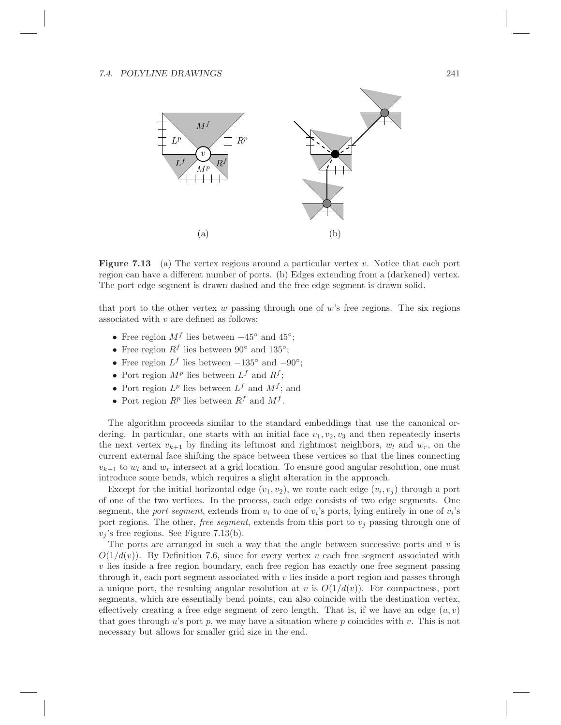

**Figure 7.13** (a) The vertex regions around a particular vertex v. Notice that each port region can have a different number of ports. (b) Edges extending from a (darkened) vertex. The port edge segment is drawn dashed and the free edge segment is drawn solid.

that port to the other vertex w passing through one of w's free regions. The six regions associated with  $v$  are defined as follows:

- Free region  $M^f$  lies between  $-45^\circ$  and  $45^\circ$ ;
- Free region  $R^f$  lies between  $90^\circ$  and  $135^\circ$ ;
- Free region  $L^f$  lies between  $-135^\circ$  and  $-90^\circ$ ;
- Port region  $M^p$  lies between  $L^f$  and  $R^f$ ;
- Port region  $L^p$  lies between  $L^f$  and  $M^f$ ; and
- Port region  $R^p$  lies between  $R^f$  and  $M^f$ .

The algorithm proceeds similar to the standard embeddings that use the canonical ordering. In particular, one starts with an initial face  $v_1, v_2, v_3$  and then repeatedly inserts the next vertex  $v_{k+1}$  by finding its leftmost and rightmost neighbors,  $w_l$  and  $w_r$ , on the current external face shifting the space between these vertices so that the lines connecting  $v_{k+1}$  to  $w_l$  and  $w_r$  intersect at a grid location. To ensure good angular resolution, one must introduce some bends, which requires a slight alteration in the approach.

Except for the initial horizontal edge  $(v_1, v_2)$ , we route each edge  $(v_i, v_j)$  through a port of one of the two vertices. In the process, each edge consists of two edge segments. One segment, the *port segment*, extends from  $v_i$  to one of  $v_i$ 's ports, lying entirely in one of  $v_i$ 's port regions. The other, *free segment*, extends from this port to  $v_i$  passing through one of  $v_j$ 's free regions. See Figure 7.13(b).

The ports are arranged in such a way that the angle between successive ports and  $v$  is  $O(1/d(v))$ . By Definition 7.6, since for every vertex v each free segment associated with v lies inside a free region boundary, each free region has exactly one free segment passing through it, each port segment associated with  $v$  lies inside a port region and passes through a unique port, the resulting angular resolution at v is  $O(1/d(v))$ . For compactness, port segments, which are essentially bend points, can also coincide with the destination vertex, effectively creating a free edge segment of zero length. That is, if we have an edge  $(u, v)$ that goes through u's port p, we may have a situation where p coincides with v. This is not necessary but allows for smaller grid size in the end.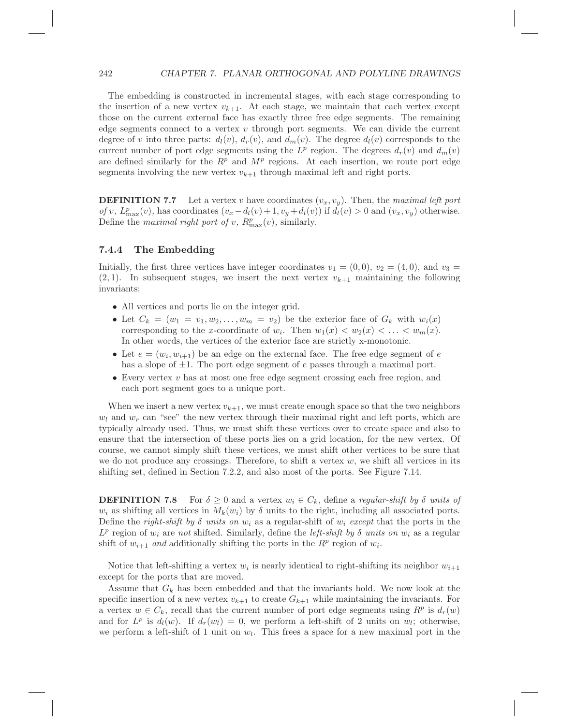The embedding is constructed in incremental stages, with each stage corresponding to the insertion of a new vertex  $v_{k+1}$ . At each stage, we maintain that each vertex except those on the current external face has exactly three free edge segments. The remaining edge segments connect to a vertex  $v$  through port segments. We can divide the current degree of v into three parts:  $d_l(v)$ ,  $d_r(v)$ , and  $d_m(v)$ . The degree  $d_l(v)$  corresponds to the current number of port edge segments using the  $L^p$  region. The degrees  $d_r(v)$  and  $d_m(v)$ are defined similarly for the  $R^p$  and  $M^p$  regions. At each insertion, we route port edge segments involving the new vertex  $v_{k+1}$  through maximal left and right ports.

**DEFINITION 7.7** Let a vertex v have coordinates  $(v_x, v_y)$ . Then, the *maximal left port of* v,  $L_{\text{max}}^p(v)$ , has coordinates  $(v_x - d_l(v) + 1, v_y + d_l(v))$  if  $d_l(v) > 0$  and  $(v_x, v_y)$  otherwise. Define the *maximal right port of*  $v$ *,*  $R_{\text{max}}^p(v)$ *,* similarly.

# 7.4.4 The Embedding

Initially, the first three vertices have integer coordinates  $v_1 = (0, 0)$ ,  $v_2 = (4, 0)$ , and  $v_3 =$  $(2, 1)$ . In subsequent stages, we insert the next vertex  $v_{k+1}$  maintaining the following invariants:

- All vertices and ports lie on the integer grid.
- Let  $C_k = (w_1 = v_1, w_2, \ldots, w_m = v_2)$  be the exterior face of  $G_k$  with  $w_i(x)$ corresponding to the x-coordinate of  $w_i$ . Then  $w_1(x) < w_2(x) < \ldots < w_m(x)$ . In other words, the vertices of the exterior face are strictly x-monotonic.
- Let  $e = (w_i, w_{i+1})$  be an edge on the external face. The free edge segment of  $e$ has a slope of  $\pm 1$ . The port edge segment of e passes through a maximal port.
- Every vertex  $v$  has at most one free edge segment crossing each free region, and each port segment goes to a unique port.

When we insert a new vertex  $v_{k+1}$ , we must create enough space so that the two neighbors  $w_l$  and  $w_r$  can "see" the new vertex through their maximal right and left ports, which are typically already used. Thus, we must shift these vertices over to create space and also to ensure that the intersection of these ports lies on a grid location, for the new vertex. Of course, we cannot simply shift these vertices, we must shift other vertices to be sure that we do not produce any crossings. Therefore, to shift a vertex  $w$ , we shift all vertices in its shifting set, defined in Section 7.2.2, and also most of the ports. See Figure 7.14.

**DEFINITION 7.8** For  $\delta \geq 0$  and a vertex  $w_i \in C_k$ , define a *regular-shift by*  $\delta$  *units of*  $w_i$  as shifting all vertices in  $M_k(w_i)$  by  $\delta$  units to the right, including all associated ports. Define the *right-shift by*  $\delta$  *units on*  $w_i$  as a regular-shift of  $w_i$  *except* that the ports in the  $L^p$  region of  $w_i$  are *not* shifted. Similarly, define the *left-shift by*  $\delta$  *units on*  $w_i$  as a regular shift of  $w_{i+1}$  and additionally shifting the ports in the  $R^p$  region of  $w_i$ .

Notice that left-shifting a vertex  $w_i$  is nearly identical to right-shifting its neighbor  $w_{i+1}$ except for the ports that are moved.

Assume that  $G_k$  has been embedded and that the invariants hold. We now look at the specific insertion of a new vertex  $v_{k+1}$  to create  $G_{k+1}$  while maintaining the invariants. For a vertex  $w \in C_k$ , recall that the current number of port edge segments using  $R^p$  is  $d_r(w)$ and for  $L^p$  is  $d_l(w)$ . If  $d_r(w_l) = 0$ , we perform a left-shift of 2 units on  $w_l$ ; otherwise, we perform a left-shift of 1 unit on  $w_l$ . This frees a space for a new maximal port in the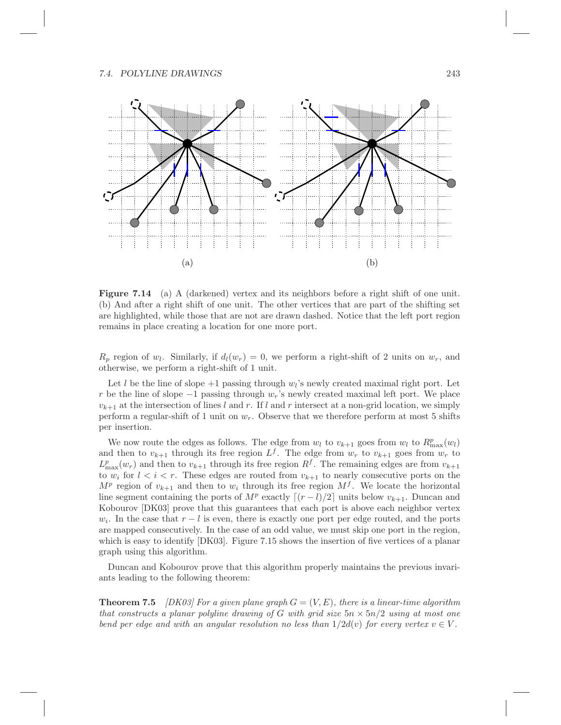

Figure 7.14 (a) A (darkened) vertex and its neighbors before a right shift of one unit. (b) And after a right shift of one unit. The other vertices that are part of the shifting set are highlighted, while those that are not are drawn dashed. Notice that the left port region remains in place creating a location for one more port.

 $R_p$  region of  $w_l$ . Similarly, if  $d_l(w_r) = 0$ , we perform a right-shift of 2 units on  $w_r$ , and otherwise, we perform a right-shift of 1 unit.

Let l be the line of slope  $+1$  passing through  $w_l$ 's newly created maximal right port. Let r be the line of slope  $-1$  passing through  $w_r$ 's newly created maximal left port. We place  $v_{k+1}$  at the intersection of lines l and r. If l and r intersect at a non-grid location, we simply perform a regular-shift of 1 unit on  $w_r$ . Observe that we therefore perform at most 5 shifts per insertion.

We now route the edges as follows. The edge from  $w_l$  to  $v_{k+1}$  goes from  $w_l$  to  $R_{\text{max}}^p(w_l)$ and then to  $v_{k+1}$  through its free region  $L^f$ . The edge from  $w_r$  to  $v_{k+1}$  goes from  $w_r$  to  $L_{\text{max}}^p(w_r)$  and then to  $v_{k+1}$  through its free region  $R^f$ . The remaining edges are from  $v_{k+1}$ to  $w_i$  for  $l < i < r$ . These edges are routed from  $v_{k+1}$  to nearly consecutive ports on the  $M^p$  region of  $v_{k+1}$  and then to  $w_i$  through its free region  $M^f$ . We locate the horizontal line segment containing the ports of  $M^p$  exactly  $\lceil (r - l)/2 \rceil$  units below  $v_{k+1}$ . Duncan and Kobourov [DK03] prove that this guarantees that each port is above each neighbor vertex  $w_i$ . In the case that  $r - l$  is even, there is exactly one port per edge routed, and the ports are mapped consecutively. In the case of an odd value, we must skip one port in the region, which is easy to identify [DK03]. Figure 7.15 shows the insertion of five vertices of a planar graph using this algorithm.

Duncan and Kobourov prove that this algorithm properly maintains the previous invariants leading to the following theorem:

**Theorem 7.5** *[DK03] For a given plane graph*  $G = (V, E)$ *, there is a linear-time algorithm that constructs a planar polyline drawing of* G *with grid size* 5n × 5n/2 *using at most one bend per edge and with an angular resolution no less than*  $1/2d(v)$  *for every vertex*  $v \in V$ *.*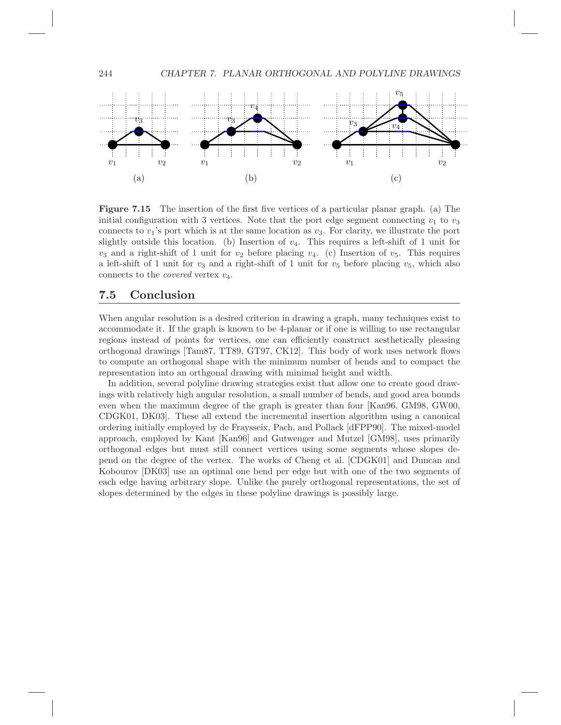244 CHAPTER 7. PLANAR ORTHOGONAL AND POLYLINE DRAWINGS



Figure 7.15 The insertion of the first five vertices of a particular planar graph. (a) The initial configuration with 3 vertices. Note that the port edge segment connecting  $v_1$  to  $v_3$ connects to  $v_1$ 's port which is at the same location as  $v_3$ . For clarity, we illustrate the port slightly outside this location. (b) Insertion of  $v_4$ . This requires a left-shift of 1 unit for  $v_3$  and a right-shift of 1 unit for  $v_2$  before placing  $v_4$ . (c) Insertion of  $v_5$ . This requires a left-shift of 1 unit for  $v_3$  and a right-shift of 1 unit for  $v_5$  before placing  $v_5$ , which also connects to the *covered* vertex v4.

# 7.5 Conclusion

When angular resolution is a desired criterion in drawing a graph, many techniques exist to accommodate it. If the graph is known to be 4-planar or if one is willing to use rectangular regions instead of points for vertices, one can efficiently construct aesthetically pleasing orthogonal drawings [Tam87, TT89, GT97, CK12]. This body of work uses network flows to compute an orthogonal shape with the minimum number of bends and to compact the representation into an orthgonal drawing with minimal height and width.

In addition, several polyline drawing strategies exist that allow one to create good drawings with relatively high angular resolution, a small number of bends, and good area bounds even when the maximum degree of the graph is greater than four [Kan96, GM98, GW00, CDGK01, DK03]. These all extend the incremental insertion algorithm using a canonical ordering initially employed by de Fraysseix, Pach, and Pollack [dFPP90]. The mixed-model approach, employed by Kant [Kan96] and Gutwenger and Mutzel [GM98], uses primarily orthogonal edges but must still connect vertices using some segments whose slopes depend on the degree of the vertex. The works of Cheng et al. [CDGK01] and Duncan and Kobourov [DK03] use an optimal one bend per edge but with one of the two segments of each edge having arbitrary slope. Unlike the purely orthogonal representations, the set of slopes determined by the edges in these polyline drawings is possibly large.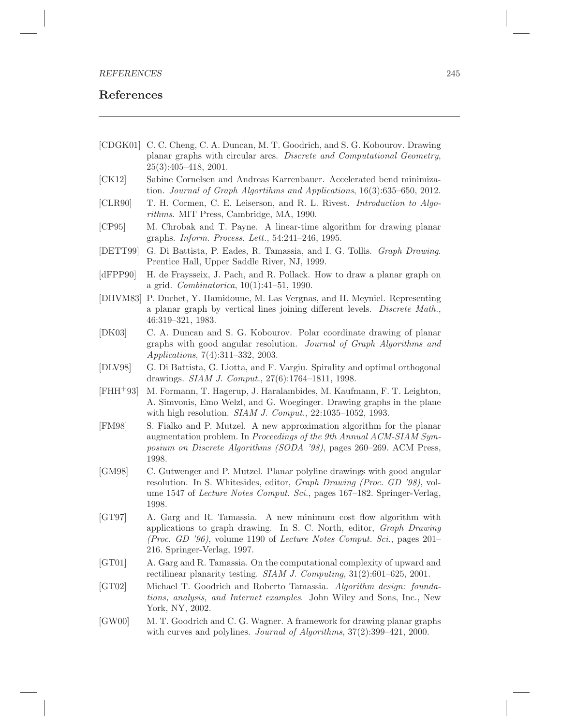# References

- [CDGK01] C. C. Cheng, C. A. Duncan, M. T. Goodrich, and S. G. Kobourov. Drawing planar graphs with circular arcs. *Discrete and Computational Geometry*, 25(3):405–418, 2001.
- [CK12] Sabine Cornelsen and Andreas Karrenbauer. Accelerated bend minimization. *Journal of Graph Algortihms and Applications*, 16(3):635–650, 2012.
- [CLR90] T. H. Cormen, C. E. Leiserson, and R. L. Rivest. *Introduction to Algorithms*. MIT Press, Cambridge, MA, 1990.
- [CP95] M. Chrobak and T. Payne. A linear-time algorithm for drawing planar graphs. *Inform. Process. Lett.*, 54:241–246, 1995.
- [DETT99] G. Di Battista, P. Eades, R. Tamassia, and I. G. Tollis. *Graph Drawing*. Prentice Hall, Upper Saddle River, NJ, 1999.
- [dFPP90] H. de Fraysseix, J. Pach, and R. Pollack. How to draw a planar graph on a grid. *Combinatorica*, 10(1):41–51, 1990.
- [DHVM83] P. Duchet, Y. Hamidoune, M. Las Vergnas, and H. Meyniel. Representing a planar graph by vertical lines joining different levels. *Discrete Math.*, 46:319–321, 1983.
- [DK03] C. A. Duncan and S. G. Kobourov. Polar coordinate drawing of planar graphs with good angular resolution. *Journal of Graph Algorithms and Applications*, 7(4):311–332, 2003.
- [DLV98] G. Di Battista, G. Liotta, and F. Vargiu. Spirality and optimal orthogonal drawings. *SIAM J. Comput.*, 27(6):1764–1811, 1998.
- [FHH<sup>+</sup>93] M. Formann, T. Hagerup, J. Haralambides, M. Kaufmann, F. T. Leighton, A. Simvonis, Emo Welzl, and G. Woeginger. Drawing graphs in the plane with high resolution. *SIAM J. Comput.*, 22:1035–1052, 1993.
- [FM98] S. Fialko and P. Mutzel. A new approximation algorithm for the planar augmentation problem. In *Proceedings of the 9th Annual ACM-SIAM Symposium on Discrete Algorithms (SODA '98)*, pages 260–269. ACM Press, 1998.
- [GM98] C. Gutwenger and P. Mutzel. Planar polyline drawings with good angular resolution. In S. Whitesides, editor, *Graph Drawing (Proc. GD '98)*, volume 1547 of *Lecture Notes Comput. Sci.*, pages 167–182. Springer-Verlag, 1998.
- [GT97] A. Garg and R. Tamassia. A new minimum cost flow algorithm with applications to graph drawing. In S. C. North, editor, *Graph Drawing (Proc. GD '96)*, volume 1190 of *Lecture Notes Comput. Sci.*, pages 201– 216. Springer-Verlag, 1997.
- [GT01] A. Garg and R. Tamassia. On the computational complexity of upward and rectilinear planarity testing. *SIAM J. Computing*, 31(2):601–625, 2001.
- [GT02] Michael T. Goodrich and Roberto Tamassia. *Algorithm design: foundations, analysis, and Internet examples*. John Wiley and Sons, Inc., New York, NY, 2002.
- [GW00] M. T. Goodrich and C. G. Wagner. A framework for drawing planar graphs with curves and polylines. *Journal of Algorithms*, 37(2):399–421, 2000.